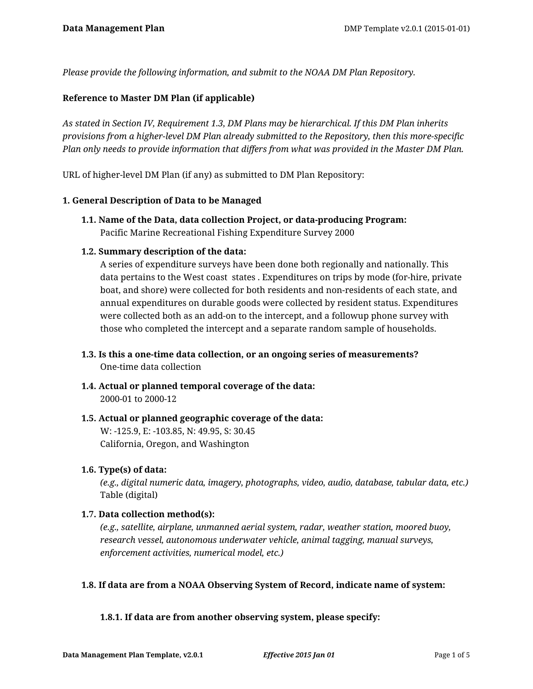*Please provide the following information, and submit to the NOAA DM Plan Repository.*

### **Reference to Master DM Plan (if applicable)**

*As stated in Section IV, Requirement 1.3, DM Plans may be hierarchical. If this DM Plan inherits provisions from a higher-level DM Plan already submitted to the Repository, then this more-specific Plan only needs to provide information that differs from what was provided in the Master DM Plan.*

URL of higher-level DM Plan (if any) as submitted to DM Plan Repository:

### **1. General Description of Data to be Managed**

**1.1. Name of the Data, data collection Project, or data-producing Program:** Pacific Marine Recreational Fishing Expenditure Survey 2000

### **1.2. Summary description of the data:**

A series of expenditure surveys have been done both regionally and nationally. This data pertains to the West coast states . Expenditures on trips by mode (for-hire, private boat, and shore) were collected for both residents and non-residents of each state, and annual expenditures on durable goods were collected by resident status. Expenditures were collected both as an add-on to the intercept, and a followup phone survey with those who completed the intercept and a separate random sample of households.

- **1.3. Is this a one-time data collection, or an ongoing series of measurements?** One-time data collection
- **1.4. Actual or planned temporal coverage of the data:** 2000-01 to 2000-12

# **1.5. Actual or planned geographic coverage of the data:** W: -125.9, E: -103.85, N: 49.95, S: 30.45 California, Oregon, and Washington

### **1.6. Type(s) of data:**

*(e.g., digital numeric data, imagery, photographs, video, audio, database, tabular data, etc.)* Table (digital)

### **1.7. Data collection method(s):**

*(e.g., satellite, airplane, unmanned aerial system, radar, weather station, moored buoy, research vessel, autonomous underwater vehicle, animal tagging, manual surveys, enforcement activities, numerical model, etc.)*

## **1.8. If data are from a NOAA Observing System of Record, indicate name of system:**

### **1.8.1. If data are from another observing system, please specify:**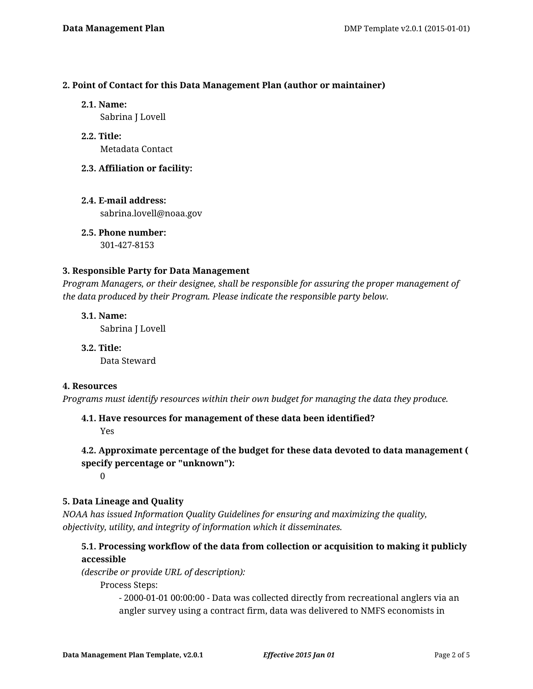### **2. Point of Contact for this Data Management Plan (author or maintainer)**

**2.1. Name:**

Sabrina J Lovell

**2.2. Title:** Metadata Contact

# **2.3. Affiliation or facility:**

**2.4. E-mail address:** sabrina.lovell@noaa.gov

**2.5. Phone number:** 301-427-8153

## **3. Responsible Party for Data Management**

*Program Managers, or their designee, shall be responsible for assuring the proper management of the data produced by their Program. Please indicate the responsible party below.*

**3.1. Name:** Sabrina J Lovell

**3.2. Title:** Data Steward

## **4. Resources**

*Programs must identify resources within their own budget for managing the data they produce.*

# **4.1. Have resources for management of these data been identified?**

Yes

# **4.2. Approximate percentage of the budget for these data devoted to data management ( specify percentage or "unknown"):**

 $\Omega$ 

## **5. Data Lineage and Quality**

*NOAA has issued Information Quality Guidelines for ensuring and maximizing the quality, objectivity, utility, and integrity of information which it disseminates.*

# **5.1. Processing workflow of the data from collection or acquisition to making it publicly accessible**

*(describe or provide URL of description):*

Process Steps:

- 2000-01-01 00:00:00 - Data was collected directly from recreational anglers via an angler survey using a contract firm, data was delivered to NMFS economists in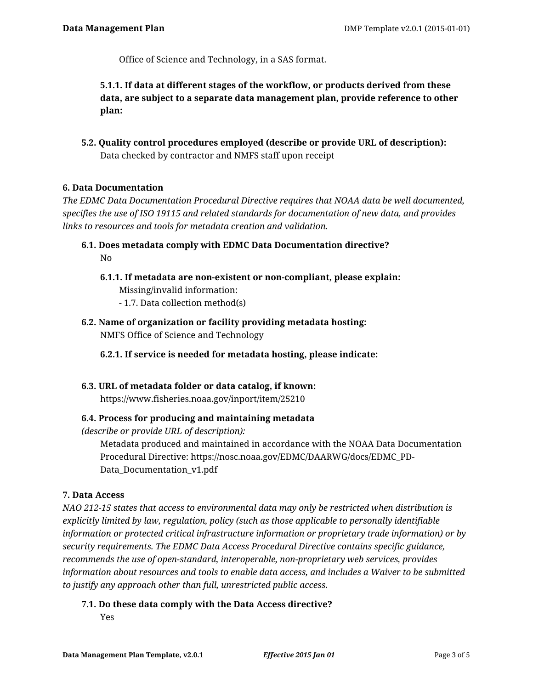Office of Science and Technology, in a SAS format.

**5.1.1. If data at different stages of the workflow, or products derived from these data, are subject to a separate data management plan, provide reference to other plan:**

**5.2. Quality control procedures employed (describe or provide URL of description):** Data checked by contractor and NMFS staff upon receipt

## **6. Data Documentation**

*The EDMC Data Documentation Procedural Directive requires that NOAA data be well documented, specifies the use of ISO 19115 and related standards for documentation of new data, and provides links to resources and tools for metadata creation and validation.*

- **6.1. Does metadata comply with EDMC Data Documentation directive?** No
	- **6.1.1. If metadata are non-existent or non-compliant, please explain:** Missing/invalid information: - 1.7. Data collection method(s)
- **6.2. Name of organization or facility providing metadata hosting:** NMFS Office of Science and Technology

**6.2.1. If service is needed for metadata hosting, please indicate:**

**6.3. URL of metadata folder or data catalog, if known:** https://www.fisheries.noaa.gov/inport/item/25210

## **6.4. Process for producing and maintaining metadata**

*(describe or provide URL of description):*

Metadata produced and maintained in accordance with the NOAA Data Documentation Procedural Directive: https://nosc.noaa.gov/EDMC/DAARWG/docs/EDMC\_PD-Data\_Documentation\_v1.pdf

## **7. Data Access**

*NAO 212-15 states that access to environmental data may only be restricted when distribution is explicitly limited by law, regulation, policy (such as those applicable to personally identifiable information or protected critical infrastructure information or proprietary trade information) or by security requirements. The EDMC Data Access Procedural Directive contains specific guidance, recommends the use of open-standard, interoperable, non-proprietary web services, provides information about resources and tools to enable data access, and includes a Waiver to be submitted to justify any approach other than full, unrestricted public access.*

**7.1. Do these data comply with the Data Access directive?**

Yes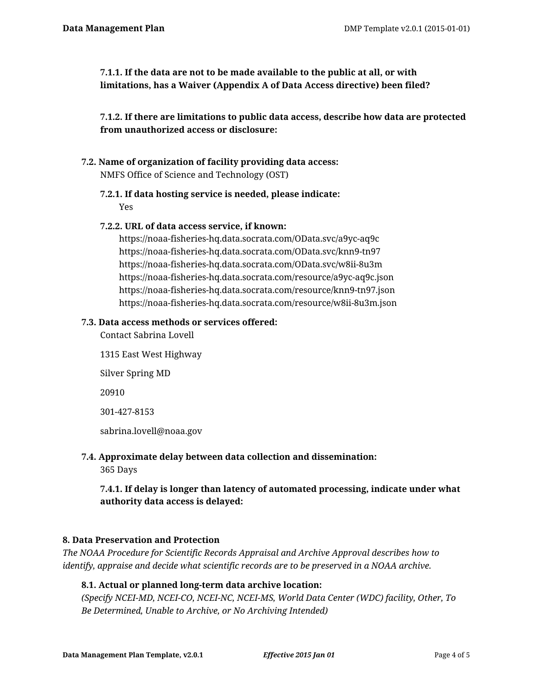**7.1.1. If the data are not to be made available to the public at all, or with limitations, has a Waiver (Appendix A of Data Access directive) been filed?**

**7.1.2. If there are limitations to public data access, describe how data are protected from unauthorized access or disclosure:**

- **7.2. Name of organization of facility providing data access:** NMFS Office of Science and Technology (OST)
	- **7.2.1. If data hosting service is needed, please indicate:** Yes
	- **7.2.2. URL of data access service, if known:**

https://noaa-fisheries-hq.data.socrata.com/OData.svc/a9yc-aq9c https://noaa-fisheries-hq.data.socrata.com/OData.svc/knn9-tn97 https://noaa-fisheries-hq.data.socrata.com/OData.svc/w8ii-8u3m https://noaa-fisheries-hq.data.socrata.com/resource/a9yc-aq9c.json https://noaa-fisheries-hq.data.socrata.com/resource/knn9-tn97.json https://noaa-fisheries-hq.data.socrata.com/resource/w8ii-8u3m.json

# **7.3. Data access methods or services offered:**

Contact Sabrina Lovell

- 1315 East West Highway Silver Spring MD 20910 301-427-8153 sabrina.lovell@noaa.gov
- **7.4. Approximate delay between data collection and dissemination:**

365 Days

**7.4.1. If delay is longer than latency of automated processing, indicate under what authority data access is delayed:**

## **8. Data Preservation and Protection**

*The NOAA Procedure for Scientific Records Appraisal and Archive Approval describes how to identify, appraise and decide what scientific records are to be preserved in a NOAA archive.*

## **8.1. Actual or planned long-term data archive location:**

*(Specify NCEI-MD, NCEI-CO, NCEI-NC, NCEI-MS, World Data Center (WDC) facility, Other, To Be Determined, Unable to Archive, or No Archiving Intended)*